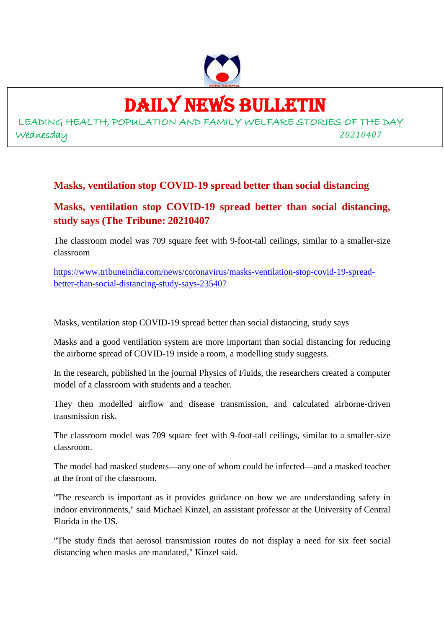

### DAILY NEWS BULLETIN

LEADING HEALTH, POPULATION AND FAMILY WELFARE STORIES OF THE DAY Wednesday *20210407*

#### **Masks, ventilation stop COVID-19 spread better than social distancing**

#### **Masks, ventilation stop COVID-19 spread better than social distancing, study says (The Tribune: 20210407**

The classroom model was 709 square feet with 9-foot-tall ceilings, similar to a smaller-size classroom

https://www.tribuneindia.com/news/coronavirus/masks-ventilation-stop-covid-19-spreadbetter-than-social-distancing-study-says-235407

Masks, ventilation stop COVID-19 spread better than social distancing, study says

Masks and a good ventilation system are more important than social distancing for reducing the airborne spread of COVID-19 inside a room, a modelling study suggests.

In the research, published in the journal Physics of Fluids, the researchers created a computer model of a classroom with students and a teacher.

They then modelled airflow and disease transmission, and calculated airborne-driven transmission risk.

The classroom model was 709 square feet with 9-foot-tall ceilings, similar to a smaller-size classroom.

The model had masked students—any one of whom could be infected—and a masked teacher at the front of the classroom.

"The research is important as it provides guidance on how we are understanding safety in indoor environments," said Michael Kinzel, an assistant professor at the University of Central Florida in the US.

"The study finds that aerosol transmission routes do not display a need for six feet social distancing when masks are mandated," Kinzel said.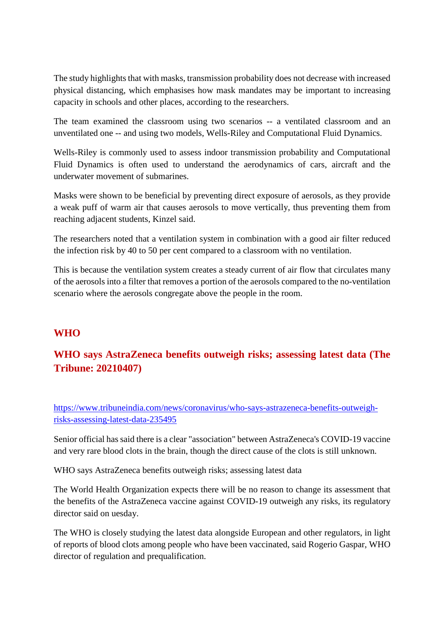The study highlights that with masks, transmission probability does not decrease with increased physical distancing, which emphasises how mask mandates may be important to increasing capacity in schools and other places, according to the researchers.

The team examined the classroom using two scenarios -- a ventilated classroom and an unventilated one -- and using two models, Wells-Riley and Computational Fluid Dynamics.

Wells-Riley is commonly used to assess indoor transmission probability and Computational Fluid Dynamics is often used to understand the aerodynamics of cars, aircraft and the underwater movement of submarines.

Masks were shown to be beneficial by preventing direct exposure of aerosols, as they provide a weak puff of warm air that causes aerosols to move vertically, thus preventing them from reaching adjacent students, Kinzel said.

The researchers noted that a ventilation system in combination with a good air filter reduced the infection risk by 40 to 50 per cent compared to a classroom with no ventilation.

This is because the ventilation system creates a steady current of air flow that circulates many of the aerosols into a filter that removes a portion of the aerosols compared to the no-ventilation scenario where the aerosols congregate above the people in the room.

#### **WHO**

#### **WHO says AstraZeneca benefits outweigh risks; assessing latest data (The Tribune: 20210407)**

https://www.tribuneindia.com/news/coronavirus/who-says-astrazeneca-benefits-outweighrisks-assessing-latest-data-235495

Senior official has said there is a clear "association" between AstraZeneca's COVID-19 vaccine and very rare blood clots in the brain, though the direct cause of the clots is still unknown.

WHO says AstraZeneca benefits outweigh risks; assessing latest data

The World Health Organization expects there will be no reason to change its assessment that the benefits of the AstraZeneca vaccine against COVID-19 outweigh any risks, its regulatory director said on uesday.

The WHO is closely studying the latest data alongside European and other regulators, in light of reports of blood clots among people who have been vaccinated, said Rogerio Gaspar, WHO director of regulation and prequalification.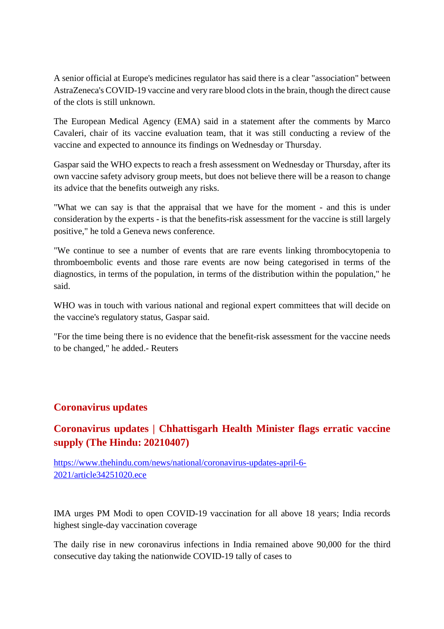A senior official at Europe's medicines regulator has said there is a clear "association" between AstraZeneca's COVID-19 vaccine and very rare blood clots in the brain, though the direct cause of the clots is still unknown.

The European Medical Agency (EMA) said in a statement after the comments by Marco Cavaleri, chair of its vaccine evaluation team, that it was still conducting a review of the vaccine and expected to announce its findings on Wednesday or Thursday.

Gaspar said the WHO expects to reach a fresh assessment on Wednesday or Thursday, after its own vaccine safety advisory group meets, but does not believe there will be a reason to change its advice that the benefits outweigh any risks.

"What we can say is that the appraisal that we have for the moment - and this is under consideration by the experts - is that the benefits-risk assessment for the vaccine is still largely positive," he told a Geneva news conference.

"We continue to see a number of events that are rare events linking thrombocytopenia to thromboembolic events and those rare events are now being categorised in terms of the diagnostics, in terms of the population, in terms of the distribution within the population," he said.

WHO was in touch with various national and regional expert committees that will decide on the vaccine's regulatory status, Gaspar said.

"For the time being there is no evidence that the benefit-risk assessment for the vaccine needs to be changed," he added.- Reuters

#### **Coronavirus updates**

#### **Coronavirus updates | Chhattisgarh Health Minister flags erratic vaccine supply (The Hindu: 20210407)**

https://www.thehindu.com/news/national/coronavirus-updates-april-6- 2021/article34251020.ece

IMA urges PM Modi to open COVID-19 vaccination for all above 18 years; India records highest single-day vaccination coverage

The daily rise in new coronavirus infections in India remained above 90,000 for the third consecutive day taking the nationwide COVID-19 tally of cases to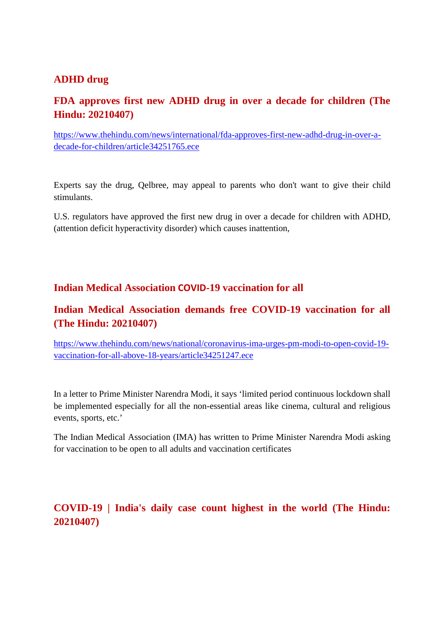#### **ADHD drug**

#### **FDA approves first new ADHD drug in over a decade for children (The Hindu: 20210407)**

https://www.thehindu.com/news/international/fda-approves-first-new-adhd-drug-in-over-adecade-for-children/article34251765.ece

Experts say the drug, Qelbree, may appeal to parents who don't want to give their child stimulants.

U.S. regulators have approved the first new drug in over a decade for children with ADHD, (attention deficit hyperactivity disorder) which causes inattention,

#### **Indian Medical Association COVID-19 vaccination for all**

#### **Indian Medical Association demands free COVID-19 vaccination for all (The Hindu: 20210407)**

https://www.thehindu.com/news/national/coronavirus-ima-urges-pm-modi-to-open-covid-19 vaccination-for-all-above-18-years/article34251247.ece

In a letter to Prime Minister Narendra Modi, it says 'limited period continuous lockdown shall be implemented especially for all the non-essential areas like cinema, cultural and religious events, sports, etc.'

The Indian Medical Association (IMA) has written to Prime Minister Narendra Modi asking for vaccination to be open to all adults and vaccination certificates

#### **COVID-19 | India's daily case count highest in the world (The Hindu: 20210407)**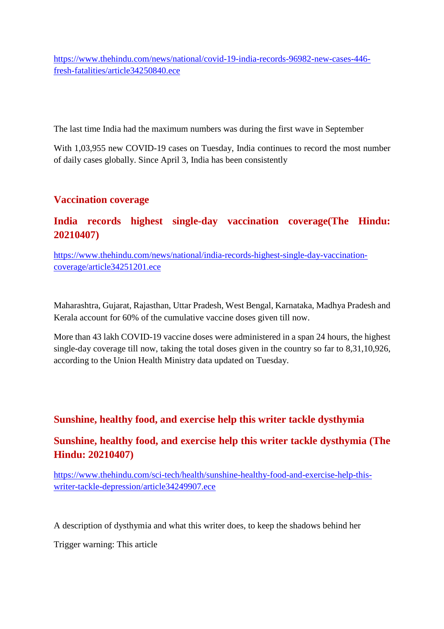https://www.thehindu.com/news/national/covid-19-india-records-96982-new-cases-446 fresh-fatalities/article34250840.ece

The last time India had the maximum numbers was during the first wave in September

With 1,03,955 new COVID-19 cases on Tuesday, India continues to record the most number of daily cases globally. Since April 3, India has been consistently

#### **Vaccination coverage**

#### **India records highest single-day vaccination coverage(The Hindu: 20210407)**

https://www.thehindu.com/news/national/india-records-highest-single-day-vaccinationcoverage/article34251201.ece

Maharashtra, Gujarat, Rajasthan, Uttar Pradesh, West Bengal, Karnataka, Madhya Pradesh and Kerala account for 60% of the cumulative vaccine doses given till now.

More than 43 lakh COVID-19 vaccine doses were administered in a span 24 hours, the highest single-day coverage till now, taking the total doses given in the country so far to 8,31,10,926, according to the Union Health Ministry data updated on Tuesday.

#### **Sunshine, healthy food, and exercise help this writer tackle dysthymia**

#### **Sunshine, healthy food, and exercise help this writer tackle dysthymia (The Hindu: 20210407)**

https://www.thehindu.com/sci-tech/health/sunshine-healthy-food-and-exercise-help-thiswriter-tackle-depression/article34249907.ece

A description of dysthymia and what this writer does, to keep the shadows behind her

Trigger warning: This article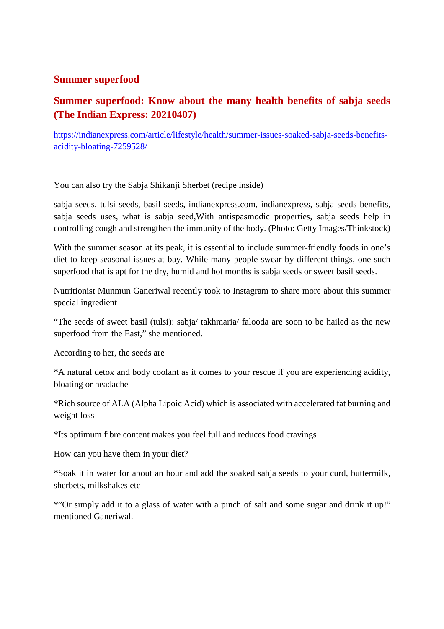#### **Summer superfood**

#### **Summer superfood: Know about the many health benefits of sabja seeds (The Indian Express: 20210407)**

https://indianexpress.com/article/lifestyle/health/summer-issues-soaked-sabja-seeds-benefitsacidity-bloating-7259528/

You can also try the Sabja Shikanji Sherbet (recipe inside)

sabja seeds, tulsi seeds, basil seeds, indianexpress.com, indianexpress, sabja seeds benefits, sabja seeds uses, what is sabja seed,With antispasmodic properties, sabja seeds help in controlling cough and strengthen the immunity of the body. (Photo: Getty Images/Thinkstock)

With the summer season at its peak, it is essential to include summer-friendly foods in one's diet to keep seasonal issues at bay. While many people swear by different things, one such superfood that is apt for the dry, humid and hot months is sabja seeds or sweet basil seeds.

Nutritionist Munmun Ganeriwal recently took to Instagram to share more about this summer special ingredient

"The seeds of sweet basil (tulsi): sabja/ takhmaria/ falooda are soon to be hailed as the new superfood from the East," she mentioned.

According to her, the seeds are

\*A natural detox and body coolant as it comes to your rescue if you are experiencing acidity, bloating or headache

\*Rich source of ALA (Alpha Lipoic Acid) which is associated with accelerated fat burning and weight loss

\*Its optimum fibre content makes you feel full and reduces food cravings

How can you have them in your diet?

\*Soak it in water for about an hour and add the soaked sabja seeds to your curd, buttermilk, sherbets, milkshakes etc

\*"Or simply add it to a glass of water with a pinch of salt and some sugar and drink it up!" mentioned Ganeriwal.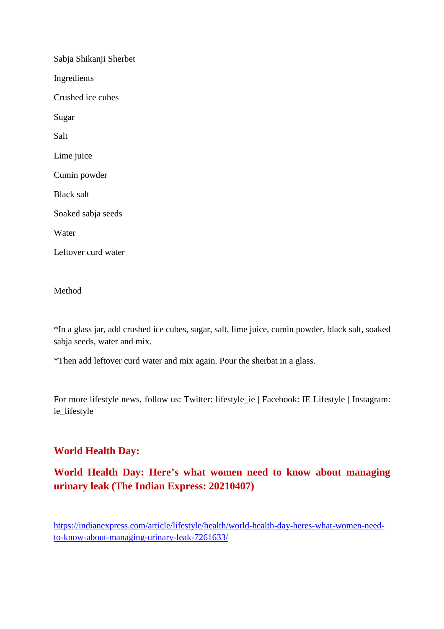| Sabja Shikanji Sherbet |
|------------------------|
| Ingredients            |
| Crushed ice cubes      |
| Sugar                  |
| Salt                   |
| Lime juice             |
| Cumin powder           |
| Black salt             |
| Soaked sabja seeds     |
| Water                  |
| Leftover curd water    |

Method

\*In a glass jar, add crushed ice cubes, sugar, salt, lime juice, cumin powder, black salt, soaked sabja seeds, water and mix.

\*Then add leftover curd water and mix again. Pour the sherbat in a glass.

For more lifestyle news, follow us: Twitter: lifestyle ie | Facebook: IE Lifestyle | Instagram: ie\_lifestyle

#### **World Health Day:**

**World Health Day: Here's what women need to know about managing urinary leak (The Indian Express: 20210407)**

https://indianexpress.com/article/lifestyle/health/world-health-day-heres-what-women-needto-know-about-managing-urinary-leak-7261633/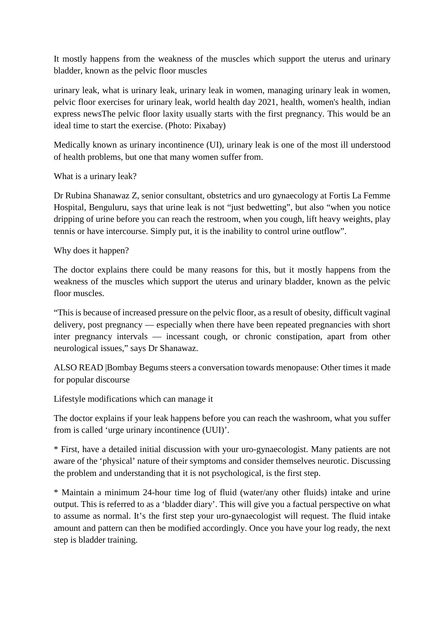It mostly happens from the weakness of the muscles which support the uterus and urinary bladder, known as the pelvic floor muscles

urinary leak, what is urinary leak, urinary leak in women, managing urinary leak in women, pelvic floor exercises for urinary leak, world health day 2021, health, women's health, indian express newsThe pelvic floor laxity usually starts with the first pregnancy. This would be an ideal time to start the exercise. (Photo: Pixabay)

Medically known as urinary incontinence (UI), urinary leak is one of the most ill understood of health problems, but one that many women suffer from.

What is a urinary leak?

Dr Rubina Shanawaz Z, senior consultant, obstetrics and uro gynaecology at Fortis La Femme Hospital, Benguluru, says that urine leak is not "just bedwetting", but also "when you notice dripping of urine before you can reach the restroom, when you cough, lift heavy weights, play tennis or have intercourse. Simply put, it is the inability to control urine outflow".

Why does it happen?

The doctor explains there could be many reasons for this, but it mostly happens from the weakness of the muscles which support the uterus and urinary bladder, known as the pelvic floor muscles.

"This is because of increased pressure on the pelvic floor, as a result of obesity, difficult vaginal delivery, post pregnancy — especially when there have been repeated pregnancies with short inter pregnancy intervals — incessant cough, or chronic constipation, apart from other neurological issues," says Dr Shanawaz.

ALSO READ |Bombay Begums steers a conversation towards menopause: Other times it made for popular discourse

Lifestyle modifications which can manage it

The doctor explains if your leak happens before you can reach the washroom, what you suffer from is called 'urge urinary incontinence (UUI)'.

\* First, have a detailed initial discussion with your uro-gynaecologist. Many patients are not aware of the 'physical' nature of their symptoms and consider themselves neurotic. Discussing the problem and understanding that it is not psychological, is the first step.

\* Maintain a minimum 24-hour time log of fluid (water/any other fluids) intake and urine output. This is referred to as a 'bladder diary'. This will give you a factual perspective on what to assume as normal. It's the first step your uro-gynaecologist will request. The fluid intake amount and pattern can then be modified accordingly. Once you have your log ready, the next step is bladder training.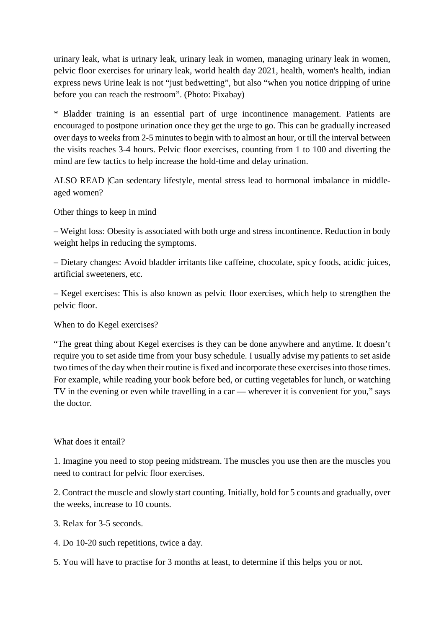urinary leak, what is urinary leak, urinary leak in women, managing urinary leak in women, pelvic floor exercises for urinary leak, world health day 2021, health, women's health, indian express news Urine leak is not "just bedwetting", but also "when you notice dripping of urine before you can reach the restroom". (Photo: Pixabay)

\* Bladder training is an essential part of urge incontinence management. Patients are encouraged to postpone urination once they get the urge to go. This can be gradually increased over days to weeks from 2-5 minutes to begin with to almost an hour, or till the interval between the visits reaches 3-4 hours. Pelvic floor exercises, counting from 1 to 100 and diverting the mind are few tactics to help increase the hold-time and delay urination.

ALSO READ |Can sedentary lifestyle, mental stress lead to hormonal imbalance in middleaged women?

Other things to keep in mind

– Weight loss: Obesity is associated with both urge and stress incontinence. Reduction in body weight helps in reducing the symptoms.

– Dietary changes: Avoid bladder irritants like caffeine, chocolate, spicy foods, acidic juices, artificial sweeteners, etc.

– Kegel exercises: This is also known as pelvic floor exercises, which help to strengthen the pelvic floor.

When to do Kegel exercises?

"The great thing about Kegel exercises is they can be done anywhere and anytime. It doesn't require you to set aside time from your busy schedule. I usually advise my patients to set aside two times of the day when their routine is fixed and incorporate these exercises into those times. For example, while reading your book before bed, or cutting vegetables for lunch, or watching TV in the evening or even while travelling in a car — wherever it is convenient for you," says the doctor.

#### What does it entail?

1. Imagine you need to stop peeing midstream. The muscles you use then are the muscles you need to contract for pelvic floor exercises.

2. Contract the muscle and slowly start counting. Initially, hold for 5 counts and gradually, over the weeks, increase to 10 counts.

3. Relax for 3-5 seconds.

4. Do 10-20 such repetitions, twice a day.

5. You will have to practise for 3 months at least, to determine if this helps you or not.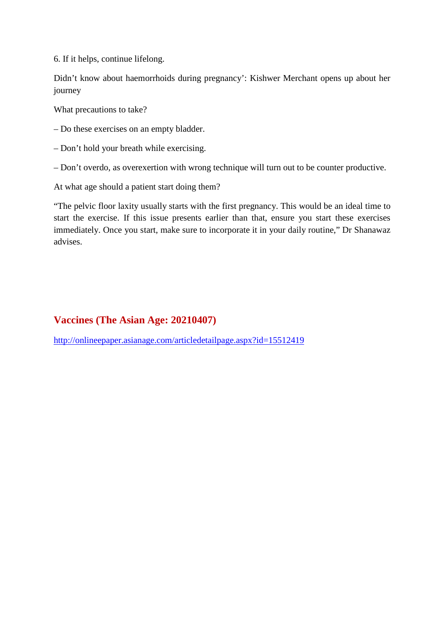6. If it helps, continue lifelong.

Didn't know about haemorrhoids during pregnancy': Kishwer Merchant opens up about her journey

What precautions to take?

– Do these exercises on an empty bladder.

– Don't hold your breath while exercising.

– Don't overdo, as overexertion with wrong technique will turn out to be counter productive.

At what age should a patient start doing them?

"The pelvic floor laxity usually starts with the first pregnancy. This would be an ideal time to start the exercise. If this issue presents earlier than that, ensure you start these exercises immediately. Once you start, make sure to incorporate it in your daily routine," Dr Shanawaz advises.

#### **Vaccines (The Asian Age: 20210407)**

http://onlineepaper.asianage.com/articledetailpage.aspx?id=15512419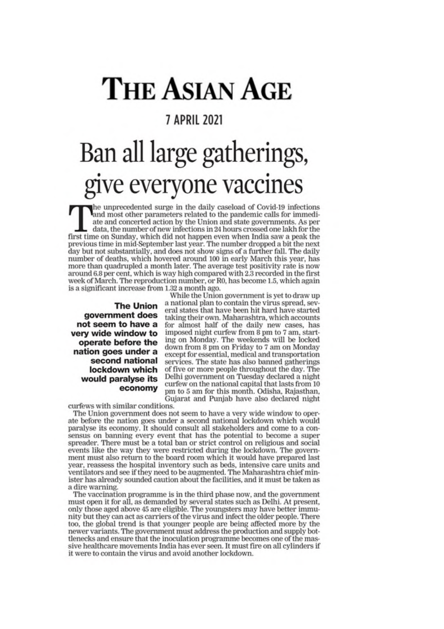### THE ASIAN AGE

#### **7 APRIL 2021**

# Ban all large gatherings,<br>give everyone vaccines

the unprecedented surge in the daily caseload of Covid-19 infections<br>and most other parameters related to the pandemic calls for immediate and concerted action by the Union and state governments. As per data, the number of new infections in 24 hours crossed one lakh for the first time on Sunday, which did not happen even when India saw a peak the previous time in mid-September last year. The number dropped a bit the next day but not substantially, and does not show signs of a further fall. The daily number of deaths, which hovered around 100 in early March this year, has more than quadrupled a month later. The average test positivity rate is now around 6.8 per cent, which is way high compared with 2.3 recorded in the first week of March. The reproduction number, or R0, has become 1.5, which again is a significant increase from 1.32 a month ago.

**The Union** government does not seem to have a very wide window to operate before the nation goes under a second national lockdown which would paralyse its economy

While the Union government is yet to draw up a national plan to contain the virus spread, several states that have been hit hard have started taking their own. Maharashtra, which accounts for almost half of the daily new cases, has imposed night curfew from 8 pm to 7 am, starting on Monday. The weekends will be locked down from 8 pm on Friday to 7 am on Monday except for essential, medical and transportation services. The state has also banned gatherings of five or more people throughout the day. The Delhi government on Tuesday declared a night curfew on the national capital that lasts from 10 pm to 5 am for this month. Odisha, Rajasthan, Gujarat and Punjab have also declared night

curfews with similar conditions.

The Union government does not seem to have a very wide window to operate before the nation goes under a second national lockdown which would paralyse its economy. It should consult all stakeholders and come to a consensus on banning every event that has the potential to become a super spreader. There must be a total ban or strict control on religious and social events like the way they were restricted during the lockdown. The government must also return to the board room which it would have prepared last year, reassess the hospital inventory such as beds, intensive care units and ventilators and see if they need to be augmented. The Maharashtra chief minister has already sounded caution about the facilities, and it must be taken as a dire warning.

The vaccination programme is in the third phase now, and the government must open it for all, as demanded by several states such as Delhi. At present, only those aged above 45 are eligible. The youngsters may have better immunity but they can act as carriers of the virus and infect the older people. There too, the global trend is that younger people are being affected more by the newer variants. The government must address the production and supply bottlenecks and ensure that the inoculation programme becomes one of the massive healthcare movements India has ever seen. It must fire on all cylinders if it were to contain the virus and avoid another lockdown.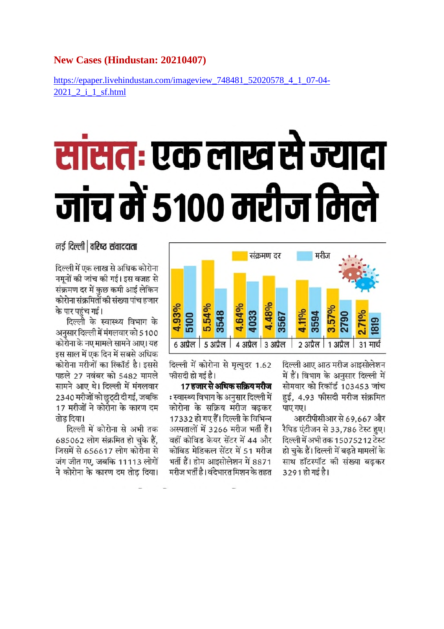#### **New Cases (Hindustan: 20210407)**

https://epaper.livehindustan.com/imageview\_748481\_52020578\_4\_1\_07-04-2021 2 i 1 sf.html

## सांसतः एक लाख से ज्यादा जांच में 5100 मरीज मिले

#### नई दिल्ली | वरिष्ट संवाददाता

दिल्ली में एक लाख से अधिक कोरोना नमूनों की जांच की गई। इस वजह से संक्रमण दर में कुछ कमी आई लेकिन कोरोना संक्रमितों की संख्या पांच हजार के पार पहुंच गई।

दिल्ली के स्वास्थ्य विभाग के अनुसार दिल्ली में मंगलवार को 5100 कोरोना के नए मामले सामने आए। यह इस साल में एक दिन में सबसे अधिक कोरोना मरीजों का रिकॉर्ड है। इससे पहले 27 नवंबर को 5482 मामले सामने आए थे। दिल्ली में मंगलवार 2340 मरीजों को छुट्टी दी गई, जबकि 17 मरीजों ने कोरोना के कारण दम तोड दिया।

दिल्ली में कोरोना से अभी तक 685062 लोग संक्रमित हो चुके हैं, जिसमें से 656617 लोग कोरोना से जंग जीत गए, जबकि 11113 लोगों ने कोरोना के कारण दम तोड दिया।



दिल्ली में कोरोना से मृत्युदर 1.62 फीसदी हो गई है।

17 हजार से अधिक सक्रिय मरीज : स्वास्थ्य विभाग के अनुसार दिल्ली में कोरोना के सक्रिय मरीज बढ़कर 17332 हो गए हैं। दिल्ली के विभिन्न अस्पतालों में 3266 मरीज भर्ती हैं। वहीं कोविड केयर सेंटर में 44 और कोविड मेडिकल सेंटर में 51 मरीज भर्ती हैं। होम आइसोलेशन में 8871 मरीज भर्ती है। वंदेभारत मिशन के तहत

दिल्ली आए आठ मरीज आइसोलेशन में हैं। विभाग के अनुसार दिल्ली में सोमवार को रिकॉर्ड 103453 जांच हुई, 4.93 फीसदी मरीज संक्रमित पाए गए।

आरटीपीसीआर से 69,667 और रैपिड एंटीजन से 33,786 टेस्ट हुए। दिल्ली में अभी तक 15075212 टेस्ट हो चुके हैं। दिल्ली में बढ़ते मामलों के साथ हॉटस्पॉट की संख्या बढ़कर 3291 हो गई है।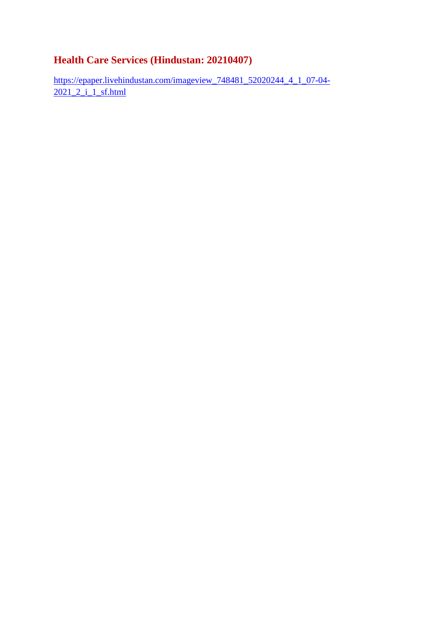#### **Health Care Services (Hindustan: 20210407)**

https://epaper.livehindustan.com/imageview\_748481\_52020244\_4\_1\_07-04- 2021 2 i 1 sf.html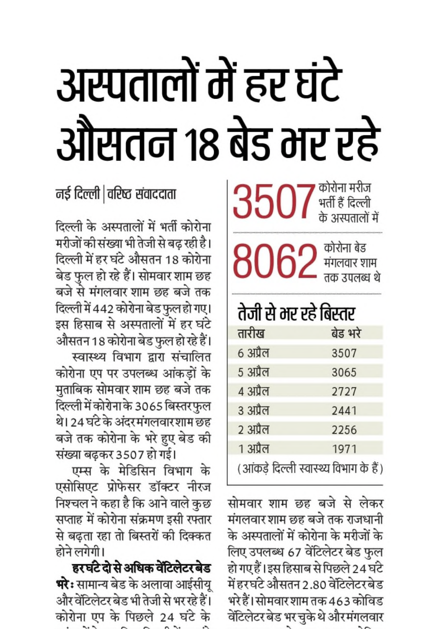## अस्पतालों में हर घंटे औसतन 18 बेड भर रहे

 $3507$  अर्ती हैं दिल्ली

 $8062$  संगलवार शाम

### तेजी से भर रहे बिस्तर

| तारीख                                  | बेड भरे |
|----------------------------------------|---------|
| 6 अप्रैल                               | 3507    |
| 5 अप्रैल                               | 3065    |
| ४ अप्रैल                               | 2727    |
| ३ अप्रैल                               | 2441    |
| 2 अप्रैल                               | 2256    |
| 1 अप्रैल                               | 1971    |
| (आंकड़े दिल्ली स्वास्थ्य विभाग के हैं) |         |

सोमवार शाम छह बजे से लेकर मंगलवार शाम छह बजे तक राजधानी के अस्पतालों में कोरोना के मरीजों के लिए उपलब्ध 67 वेंटिलेटर बेड फुल हो गए हैं। इस हिसाब से पिछले 24 घंटे में हरघंटे औसतन 2.80 वेंटिलेटरबेड भरे हैं। सोमवार शाम तक 463 कोविड वेंटिलेटर बेड भर चुके थे और मंगलवार

### नई दिल्ली |वरिष्ट संवाददाता

दिल्ली के अस्पतालों में भर्ती कोरोना मरीजों की संख्या भी तेजी से बढ रही है। दिल्ली में हर घंटे औसतन 18 कोरोना बेड फुल हो रहे हैं। सोमवार शाम छह बजे से मंगलवार शाम छह बजे तक दिल्ली में 442 कोरोना बेड फुल हो गए। इस हिसाब से अस्पतालों में हर घंटे औसतन 18 कोरोना बेड फुल हो रहे हैं। स्वास्थ्य विभाग द्वारा संचालित

कोरोना एप पर उपलब्ध आंकड़ों के मुताबिक सोमवार शाम छह बजे तक दिल्ली में कोरोना के 3065 बिस्तर फुल थे। 24 घंटे के अंदरमंगलवारशाम छह बजे तक कोरोना के भरे हुए बेड की संख्या बढ़कर 3507 हो गई।

एम्स के मेडिसिन विभाग के एसोसिएट प्रोफेसर डॉक्टर नीरज निश्चल ने कहा है कि आने वाले कुछ सप्ताह में कोरोना संक्रमण इसी रफ्तार से बढ़ता रहा तो बिस्तरों की दिक्कत होने लगेगी।

हरघंटे दो से अधिक वेंटिलेटर बेड **भरेः** सामान्य बेड के अलावा आईसीयू और वेंटिलेटर बेड भी तेजी से भर रहे हैं। कोरोना एप के पिछले 24 घंटे के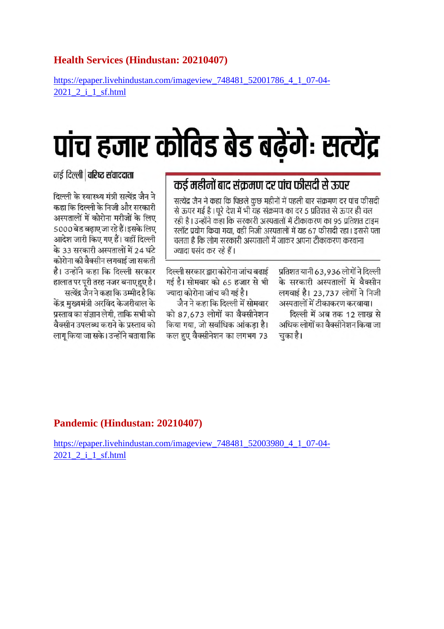#### **Health Services (Hindustan: 20210407)**

https://epaper.livehindustan.com/imageview\_748481\_52001786\_4\_1\_07-04- 2021\_2\_i\_1\_sf.html

### पांच हजार कोविड बेड बढ़ेंगेः सत्येंद्र

#### नई दिल्ली | वरिष्ट संवाददाता

दिल्ली के स्वास्थ्य मंत्री सत्येंद्र जैन ने कहा कि दिल्ली के निजी और सरकारी अस्पतालों में कोरोना मरीजों के लिए 5000 बेड बढाए जा रहे हैं। इसके लिए आदेश जारी किए गए हैं। वहीं दिल्ली के 33 सरकारी अस्पतालों में 24 घंटे कोरोना की वैक्सीन लगवाई जा सकती है। उन्होंने कहा कि दिल्ली सरकार हालात पर पुरी तरह नजर बनाए हुए है। सत्येंद्र जैन ने कहा कि उम्मीद है कि केंद्र मुख्यमंत्री अरविंद केजरीवाल के प्रस्ताव का संज्ञान लेगी. ताकि सभी को वैक्सीन उपलब्ध कराने के प्रस्ताव को लागु किया जा सके। उन्होंने बताया कि

#### कई महीनों बाद संक्रमण दर पांच फीसदी से ऊपर

सत्येंद्र जैन ने कहा कि पिछले कछ महीनों में पहली बार संक्रमण दर पांच फीसदी से ऊपर गई है। पूरे देश में भी यह संक्रमण का दर 5 प्रतिशत से ऊपर ही चल रही है। उन्होंने कहा कि सरकारी अस्पतालों में टीकाकरण का 95 प्रतिशत टाइम स्लॉट प्रयोग किया गया, वहीं निजी अस्पतालों में यह 67 फीसदी रहा। इससे पता चलता है कि लोग सरकारी अस्पतालों में जाकर अपना टीकाकरण करवाना ज्यादा पसंद कर रहे हैं।

> प्रतिशत यानी 63.936 लोगों ने दिल्ली के सरकारी अस्पतालों में वैक्सीन लगवाई है। 23,737 लोगों ने निजी अस्पतालों में टीकाकरण करवाया। दिल्ली में अब तक 12 लाख से अधिक लोगों का वैक्सीनेशन किया जा चुका है।

दिल्ली सरकार द्वारा कोरोना जांच बढाई गई है। सोमवार को 65 हजार से भी ज्यादा कोरोना जांच की गई है।

जैन ने कहा कि दिल्ली में सोमवार को 87.673 लोगों का वैक्सीनेशन किया गया. जो सर्वाधिक आंकडा है। कल हुए वैक्सीनेशन का लगभग 73

#### **Pandemic (Hindustan: 20210407)**

https://epaper.livehindustan.com/imageview\_748481\_52003980\_4\_1\_07-04-2021 2 i 1 sf.html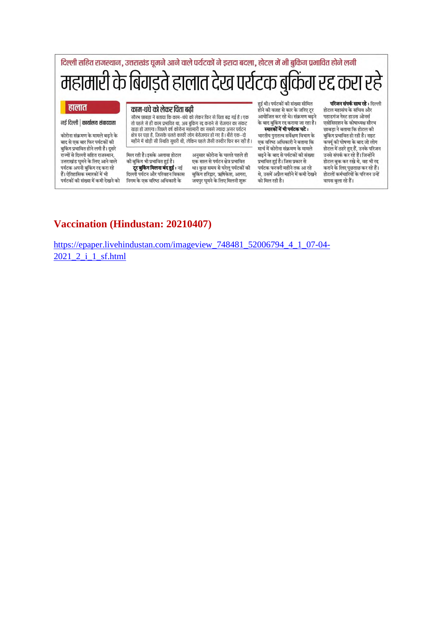| दिल्ली सहित राजस्थान, उत्तराखंड घूमने आने वाले पर्यटकों ने इरादा बदला, होटल में भी बुकिंग प्रभावित होने लगी |                                                                                                                                                                                                                    |                                                                                                            |                                                                                                        |  |
|-------------------------------------------------------------------------------------------------------------|--------------------------------------------------------------------------------------------------------------------------------------------------------------------------------------------------------------------|------------------------------------------------------------------------------------------------------------|--------------------------------------------------------------------------------------------------------|--|
|                                                                                                             | महामारी के बिगड़ते हालात देख पर्यटक बुकिंग रद्द करा रहे                                                                                                                                                            |                                                                                                            |                                                                                                        |  |
| हालात                                                                                                       | काम-धंधे को लेकर चिंता बढी                                                                                                                                                                                         | हई थी। पर्यटकों की संख्या सीमित<br>होने की वजह से कार के जरिए ट्र                                          | <b>परिजन संपर्क साध रहे:</b> दिल्ली<br>होटल महासंघ के सचिव और                                          |  |
| नई दिल्ली   कार्यालय संवाददाता                                                                              | सौरभ छाबड़ा ने बताया कि काम–धंधे को लेकर फिर से चिंता बढ़ गई है । एक<br>तो पहले से ही काम प्रभावित था, अब बुकिंग रद्द कराने से रोजगार का संकट<br>खडा हो जाएगा। पिछले वर्ष कोरोना महामारी का सबसे ज्यादा असर पर्यटन | आयोजित कर रहे थे। संक्रमण बढने<br>के बाद बुकिंग रद्द कराया जा रहा है।<br>स्मारकों में भी पर्यटक घटे :      | पहाडगंज गेस्ट हाउस ओनर्स<br>एसोसिएशन के कोषाध्यक्ष सौरभ<br>छाबडा ने बताया कि होटल की                   |  |
| कोरोना संक्रमण के मामले बढने के<br>बाद से एक बार फिर पर्यटकों की<br>बुकिंग प्रभावित होने लगी है। दुसरे      | क्षेत्र पर पडा है, जिसके चलते काफी लोग बेरोजगार हो गए है। बीते एक–दो<br>महीने में थोड़ी सी स्थिति सुधरी थी, लेकिन पहले जैसी तस्वीर फिर बन रही है।                                                                  | भारतीय पुरातत्त्व सर्वेक्षण विभाग के<br>एक वरिष्ठ अधिकारी ने बताया कि<br>मार्च में कोरोना संक्रमण के मामले | बुकिंग प्रभावित हो रही है। नाइट<br>कर्फ्यु की घोषणा के बाद जो लोग<br>होटल में ठहरे हुए हैं, उनके परिजन |  |
| राज्यों से दिल्ली सहित राजस्थान,                                                                            | अनुसार कोरोना के चलते पहले ही<br>मिल रही है। इसके अलावा होटल                                                                                                                                                       | बढने के बाद से पर्यटकों की संख्या                                                                          | उनसे संपर्क कर रहे हैं। जिन्होंने                                                                      |  |

उत्तराखंड घूमने के लिए आने वाले पर्यटक अपनी बुकिंग रद्द करा रहे हैं। ऐतिहासिक स्मारकों में भी पर्यटकों की संख्या में कमी देखने को निगम के एक वरिष्ठ अधिकारी के

मिल रही है। इसके अलावा होटल की बुकिंग भी प्रभावित हुई है। दूर बुकिंग मिलना बंद हुई : नई दिल्ली पर्यटन और परिवहन विकास

अनुसार कोरोना के चलते पहले ही एक साल से पर्यटन क्षेत्र प्रभावित था। कुछ समय से घरेलू पर्यटकों की बुकिंग हरिद्वार, ऋषिकेश, आगरा, जयपुर घूमने के लिए मिलनी शुरू

बढ़ने के बाद से पर्यटकों की संख्या प्रभावित हुई है। जिस प्रकार से पर्यटक फरवरी महीने तक आ रहे थे, उसमें अप्रैल महीने में कमी देखने को मिल रही है।

उनसे संपर्क कर रहे हैं। जिन्होंने होटल बुक कर रखे थे, वह भी रद कराने के लिए पूछताछ कर रहे हैं। होटलों कर्मचारियों के परिजन उन्हें वापस बुला रहे हैं।

#### **Vaccination (Hindustan: 20210407)**

https://epaper.livehindustan.com/imageview\_748481\_52006794\_4\_1\_07-04- 2021 2 i 1 sf.html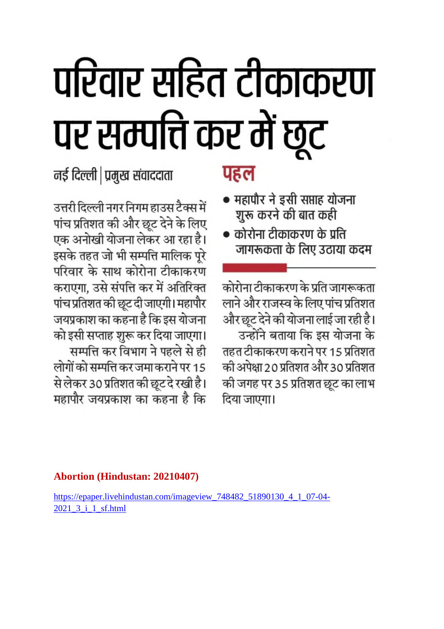## परिवार सहित टीकाकरण पर सम्पत्ति कर में छूट

नई दिल्ली | प्रमुख संवाददाता

उत्तरी दिल्ली नगर निगम हाउस टैक्स में पांच प्रतिशत की और छूट देने के लिए एक अनोखी योजना लेकर आ रहा है। इसके तहत जो भी सम्पत्ति मालिक पूरे परिवार के साथ कोरोना टीकाकरण कराएगा, उसे संपत्ति कर में अतिरिक्त पांच प्रतिशत की छूट दी जाएगी। महापौर जयप्रकाश का कहना है कि इस योजना को इसी सप्ताह शुरू कर दिया जाएगा। सम्पत्ति कर विभाग ने पहले से ही लोगों को सम्पत्ति कर जमा कराने पर 15 से लेकर 30 प्रतिशत की छूट दे रखी है। महापौर जयप्रकाश का कहना है कि

#### पहल

- महापौर ने इसी सप्ताह योजना शुरू करने की बात कही
- कोरोना टीकाकरण के प्रति जागरूकता के लिए उठाया कदम

कोरोना टीकाकरण के प्रति जागरूकता लाने और राजस्व के लिए पांच प्रतिशत और छूट देने की योजना लाई जा रही है। उन्होंने बताया कि इस योजना के तहत टीकाकरण कराने पर 15 प्रतिशत की अपेक्षा 20 प्रतिशत और 30 प्रतिशत की जगह पर 35 प्रतिशत छूट का लाभ दिया जाएगा।

#### **Abortion (Hindustan: 20210407)**

https://epaper.livehindustan.com/imageview 748482 51890130 4 1 07-04-2021 3 i 1 sf.html